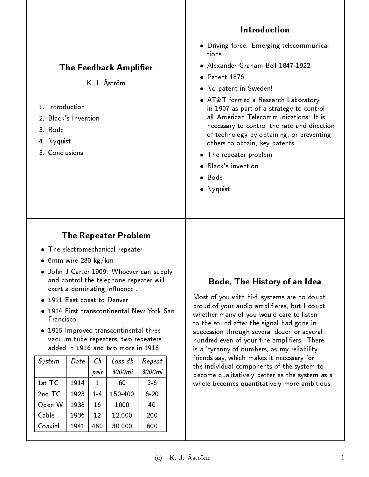#### Introduction Driving force: Emerging telecommunications · Alexander Graham Bell 1847-1922 **The Feedback Amplifier**  $\bullet$  Patent 1876 K. J. Åström No patent in Sweden! AT&T formed a Research Laboratory 1 Introduction in 1907 as part of a strategy to control all American Telecommunications: It is 2. Black's Invention necessary to control the rate and direction 3. Bode of technology by obtaining, or preventing 4. Nyquist others to obtain, key patents. 5 Conclusions The repeater problem Black's invention Bode Nyquist The Repeater Problem The electromechanical repeater  $6$ mm wire 280 kg/km John J Carter 1909: Whoever can supply and control the telephone repeater will Bode, The History of an Idea exert a dominating influence ...

- 1911 East coast to Denver
- 1914 First transcontinental New York San **Francisco**
- 1915 Improved transcontinental three vacuum tube repeaters, two repeaters added in 1916 and two more in 1918.

| System   | Date | Сh   | Loss db | Repeat   |
|----------|------|------|---------|----------|
|          |      | pair | 3000mi  | 3000mi   |
| 1st TC   | 1914 |      | 60      | $3-6$    |
| $2nd$ TC | 1923 | 14   | 150-400 | $6 - 20$ |
| Open W   | 1938 | 16   | 1000    | 40       |
| Ca ble   | 1936 | 12   | 12.000  | 200      |
| Coaxial  | 1941 | 480  | 30.000  | 600      |

#### Most of you with hi- systems are no doubt proud of your audio amplieres, but I doubt whether many of you would care to listen to the sound after the signal had gone in succession through several dozen or several hundred even of your fine amplifiers. There is a 'tyranny of numbers, as my reliability friends say, which makes it necessary for the individual components of the system to become qualitatively better as the system as a whole becomes quantitatively more ambitious.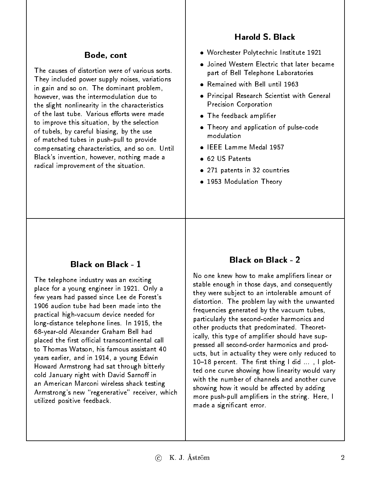# **Harold S. Black**

#### Bode, cont Bode, cont

The causes of distortion were of various sorts. They included power supply noises, variations in gain and so on. The dominant problem, however, was the intermodulation due to the slight nonlinearity in the characteristics of the last tube. Various efforts were made to improve this situation, by the selection of tubels, by careful biasing, by the use of matched tubes in push-pull to provide compensating characteristics, and so on. Until Black's invention, however, nothing made a radical improvement of the situation.

#### Worchester Polytechnic Institute 1921

- . Joined Western Electric that later became part of Bell Telephone Laboratories
- Remained with Bell until 1963
- Principal Research Scientist with General Precision Corporation
- **•** The feedback amplifier
- Theory and application of pulse-code modulation
- IFFF Lamme Medal 1957
- 62 US Patents
- 271 patents in 32 countries
- 1953 Modulation Theory

# **Black on Black - 1**

The telephone industry was an exciting place for a young engineer in 1921. Only a few years had passed since Lee de Forest's 1906 audion tube had been made into the practical high-vacuum device needed for long-distance telephone lines. In 1915, the 68-year-old Alexander Graham Bell had placed the first official transcontinental call placed the rst ocial transcontinental call to Thomas Watson, his famous assistant 40 to Thomas Watson, his famous assistant 40 years earlier, and in 1914, a young Edwin Howard Armstrong had sat through bitterly cold January night with David Sarnoff in an American Marconi wireless shack testing Armstrong's new "regenerative" receiver, which utilized positive feedback.

# **Black on Black - 2**

No one knew how to make amplifiers linear or stable enough in those days, and consequently they were subject to an intolerable amount of distortion. The problem lay with the unwanted frequencies generated by the vacuum tubes, particularly the second-order harmonics and other products that predominated. Theoretically, this type of amplifier should have suppressed all second-order harmonics and products, but in actuality they were only reduced to  $10-18$  percent. The first thing I did  $\dots$ , I plotted one curve showing how linearity would vary with the number of channels and another curve and showing how it would be affected by adding more push-pull amplifiers in the string. Here, I made a signicant error.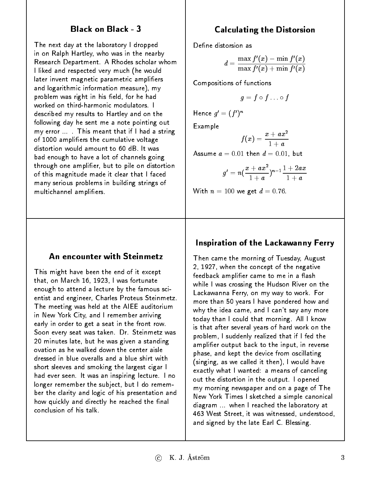### Black on Black - 3

The next day at the laboratory I dropped in on Ralph Hartley, who was in the nearby Research Department. A Rhodes scholar whom I liked and respected very much (he would later invent magnetic parametric amplifiers and logarithmic information measure), my problem was right in his field, for he had worked on third-harmonic modulators. I described my results to Hartley and on the following day he sent me a note pointing out my error ... . This meant that if I had a string of 1000 ampliers the cumulative voltage distortion would amount to 60 dB. It was bad enough to have a lot of channels going through one amplier, but to pile on distortion of this magnitude made it clear that I faced many serious problems in building strings of multichannel ampliers.

# Calculating the Distorsion

Define distorsion as

$$
d=\frac{\max f'(x)-\min f'(x)}{\max f'(x)+\min f'(x)}
$$

Compositions of functions

$$
g=f\circ f\ldots\circ f
$$

Hence  $q = (T/T)$ 

Example

$$
f(x)=\frac{x+ax^2}{1+a}
$$

Assume  $a = 0.01$  then  $d = 0.01$ , but

$$
g'=n(\frac{x+ax^2}{1+a})^{n-1}\frac{1+2ax}{1+a}
$$

With  $n = 100$  we get  $d = 0.76$ .

### An encounter with Steinmetz

This might have been the end of it except that, on March 16, 1923, I was fortunate enough to attend a lecture by the famous scientist and engineer, Charles Proteus Steinmetz. The meeting was held at the AIEE auditorium in New York City, and I remember arriving early in order to get a seat in the front row. Soon every seat was taken. Dr. Steinmetz was 20 minutes late, but he was given a standing ovation as he walked down the center aisle dressed in blue overalls and a blue shirt with short sleeves and smoking the largest cigar I had ever seen. It was an inspiring lecture. I no longer remember the subject, but I do remember the clarity and logic of his presentation and how quickly and directly he reached the final conclusion of his talk.

# Inspiration of the Lackawanny Ferry

Then came the morning of Tuesday, August 2, 1927, when the concept of the negative feedback amplifier came to me in a flash while I was crossing the Hudson River on the Lackawanna Ferry, on my way to work. For more than 50 years I have pondered how and why the idea came, and I can't say any more today than I could that morning. All I know is that after several years of hard work on the problem, I suddenly realized that if I fed the amplifier output back to the input, in reverse phase, and kept the device from oscillating (singing, as we called it then), I would have exactly what I wanted: a means of canceling out the distortion in the output. I opened my morning newspaper and on a page of The New York Times I sketched a simple canonical diagram ... when I reached the laboratory at 463 West Street, it was witnessed, understood, and signed by the late Earl C. Blessing.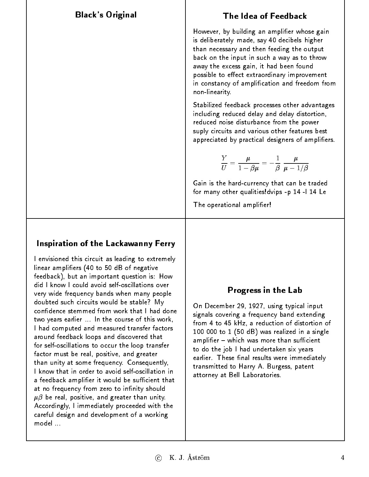### Black's Original

### The Idea of Feedback

However, by building an amplifier whose gain is deliberately made, say 40 decibels higher than necessary and then feeding the output back on the input in such a way as to throw away the excess gain, it had been found possible to effect extraordinary improvement in constancy of amplication and freedom from non-linearity.

Stabilized feedback processes other advantages including reduced delay and delay distortion, reduced noise disturbance from the power suply circuits and various other features best suply circuits and various other features best appreciated by practical designers of ampliers.

$$
\frac{Y}{U}=\frac{\mu}{1-\beta\mu}=-\frac{1}{\beta}\;\frac{\mu}{\mu-1/\beta}
$$

Gain is the hard-currency that can be traded for many other qualities!dvips -p 14 -l 14 Le

The operational amplifier!

# Inspiration of the Lackawanny Ferry

I envisioned this circuit as leading to extremely linear ampliers (40 to 50 dB of negative feedback), but an important question is: How did I know I could avoid self-oscillations over very wide frequency bands when many people doubted such circuits would be stable? My doubted such circuits would be stable? My first confidence stemmed from work that I had done two years earlier ... In the course of this work, I had computed and measured transfer factors around feedback loops and discovered that for self-oscillations to occur the loop transfer factor must be real, positive, and greater than unity at some frequency. Consequently, I know that in order to avoid self-oscillation in a feedback amplifier it would be sufficient that at no frequency from zero to infinity should  $\mu\beta$  be real, positive, and greater than unity. Accordingly, I immediately proceeded with the careful design and development of a working model ...

### Progress in the Lab

On December 29, 1927, using typical input signals covering a frequency band extending from 4 to 45 kHz, a reduction of distortion of 100 000 to 1 (50 dB) was realized in a single  $a$ mplifier  $-$  which was more than sufficient to do the job I had undertaken six years earlier. These final results were immediately transmitted to Harry A. Burgess, patent attorney at Bell Laboratories.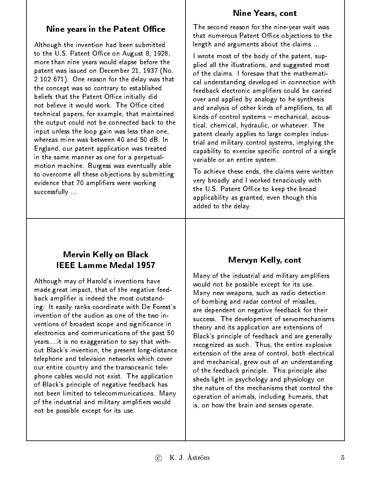#### Nine Years, cont

# Nine years in the Patent Office

Although the invention had been submitted to the  $U.S.$  Patent Office on August 8, 1928, more than nine years would elapse before the patent was issued on December 21, 1937 (No. 2 102 671). One reason for the delay was that the concept was so contrary to established beliefs that the Patent Office initially did not believe it would work. The Office cited technical papers, for example, that maintained the output could not be connected back to the input unless the loop gain was less than one, whereas mine was between 40 and 50 dB. In England, our patent application was treated in the same manner as one for a perpetualmotion machine. Burgess was eventually able to overcome all these objections by submitting evidence that 70 ampliers were working successfully ...

The second reason for the nine-year wait was that numerous Patent Office objections to the length and arguments about the claims ...

I wrote most of the body of the patent, supplied all the illustrations, and suggested most of the claims. I foresaw that the mathematical understanding developed in connection with feedback electronic amplifiers could be carried over and applied by analogy to he synthesis and analysis of other kinds of ampliers, to all  $kinds$  of control systems  $-$  mechanical, acoustical, chemical, hydraulic, or whatever. The patent clearly applies to large complex industrial and military control systems, implying the capability to exercise specific control of a single variable or an entire system.

To achieve these ends, the claims were written very broadly and I worked tenaciously with the U.S. Patent Office to keep the broad applicability as granted, even though this added to the delay.

# Mervin Kelly on Black **IEEE Lamme Medal 1957**

Although may of Harold's inventions have made great impact, that of the negative feedback amplier is indeed the most outstanding. It easily ranks coordinate with De Forest's invention of the audion as one of the two inventions of broadest scope and signicance in electronics and communications of the past 50 years....it is no exaggeration to say that without Black's invention, the present long-distance telephone and television networks which cover our entire country and the transoceanic telephone cables would not exist. The application of Black's principle of negative feedback has not been limited to telecommunications. Many of the industrial and military ampliers would not be possible except for its use.

# Mervyn Kelly, cont

Many of the industrial and military ampliers would not be possible except for its use. Many new weapons, such as radio detection of bombing and radar control of missiles, are dependent on negative feedback for their success. The development of servomechanisms theory and its application are extensions of Black's principle of feedback and are generally recognized as such. Thus, the entire explosive extension of the area of control, both electrical and mechanical, grew out of an understanding of the feedback principle. This principle also sheds light in psychology and physiology on the nature of the mechanisms that control the operation of animals, including humans, that is, on how the brain and senses operate.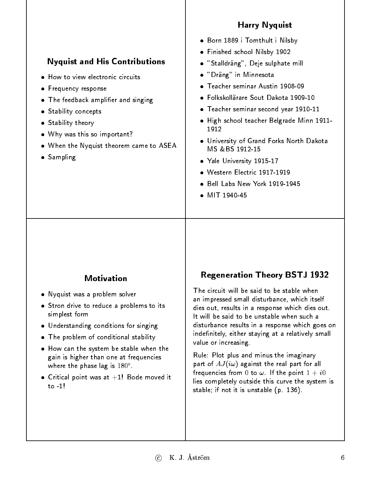### Harry Nyquist

#### Nyquist and His Contributions Finished school Nilsby 1902

"Stalldräng", Deje sulphate mill

Born 1889 i Tomthult i Nilsby

- "Dräng" in Minnesota
- Teacher seminar Austin 1908-09
- Folkskollärare Sout Dakota 1909-10 Folkskollärare Sout Dakota 1909-10
- Teacher seminar second year 1910-11
- $\bullet$  High school teacher Belgrade Minn 1911-1912
- University of Grand Forks North Dakota MS &BS 1912-15
- · Yale University 1915-17 Yale University 1915-17
- Western Electric 1917-1919
- Bell Labs New York 1919-1945
- 

### **Motivation**

Nyquist was a problem solver

• How to view electronic circuits

Why was this so important?

• The feedback amplifier and singing

When the Nyquist theorem came to ASEA

**•** Frequency response

• Stability concepts **Stability theory** 

Sampling

- Stron drive to reduce a problems to its simplest form
- Understanding conditions for singing
- The problem of conditional stability
- How can the system be stable when the gain is higher than one at frequencies where the phase lag is 180 .
- $\bullet$  Critical point was at  $+1!$  Bode moved it to  $1!$

### Regeneration Theory BSTJ 1932

The circuit will be said to be stable when an impressed small disturbance, which itself dies out, results in a response which dies out. It will be said to be unstable when such a disturbance results in a response which goes on indefinitely, either staying at a relatively small value or increasing.

Rule: Plot plus and minus the imaginary part of  $AJ(i\omega)$  against the real part for all frequencies from 0 to  $\omega$ . If the point  $1 + i0$ lies completely outside this curve the system is stable; if not it is unstable (p. 136).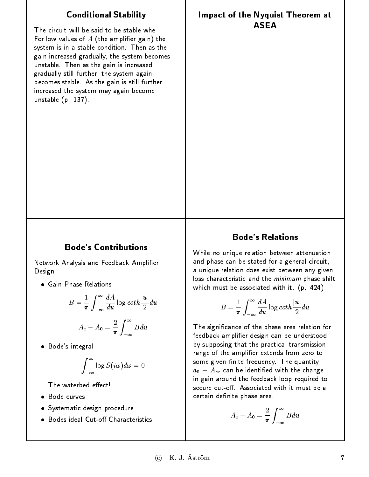# Conditional Stability

The circuit will be said to be stable whe For low values of  $A$  (the amplifier gain) the system is in a stable condition. Then as the gain increased gradually, the system becomes unstable. Then as the gain is increased gradually still further, the system again becomes stable. As the gain is still further increased the system may again become unstable (p. 137).

#### Impact of the Nyquist Theorem at **ASEA**

#### Bode's Contributions

Network Analysis and Feedback Amplier Design

Gain Phase Relations

$$
B = \frac{1}{\pi} \int_{-\infty}^{\infty} \frac{dA}{du} \log \coth \frac{|u|}{2} du
$$

$$
A_c - A_0 = \frac{2}{\pi} \int_{-\infty}^{\infty} B du
$$

Bode's integral

$$
\int_{-\infty}^{\infty}\log S(i\omega)d\omega=0
$$

The waterbed effect!

- · Bode curves
- Systematic design procedure
- Bodes ideal Cut-off Characteristics

#### Bode's Relations

While no unique relation between attenuation and phase can be stated for a general circuit, a unique relation does exist between any given loss characteristic and the *minimum* phase shift which must be associated with it. (p. 424)

$$
B=\frac{1}{\pi}\int_{-\infty}^{\infty}\frac{dA}{du}\log\coth\frac{|u|}{2}du
$$

The signicance of the phase area relation for feedback amplifier design can be understood by supposing that the practical transmission range of the amplier extends from zero to some given finite frequency. The quantity  $a_0 - A_{\infty}$  can be identified with the change in gain around the feedback loop required to secure cut-off. Associated with it must be a certain definite phase area.

$$
A_c-A_0=\frac{2}{\pi}\int_{-\infty}^{\infty}Bdu
$$